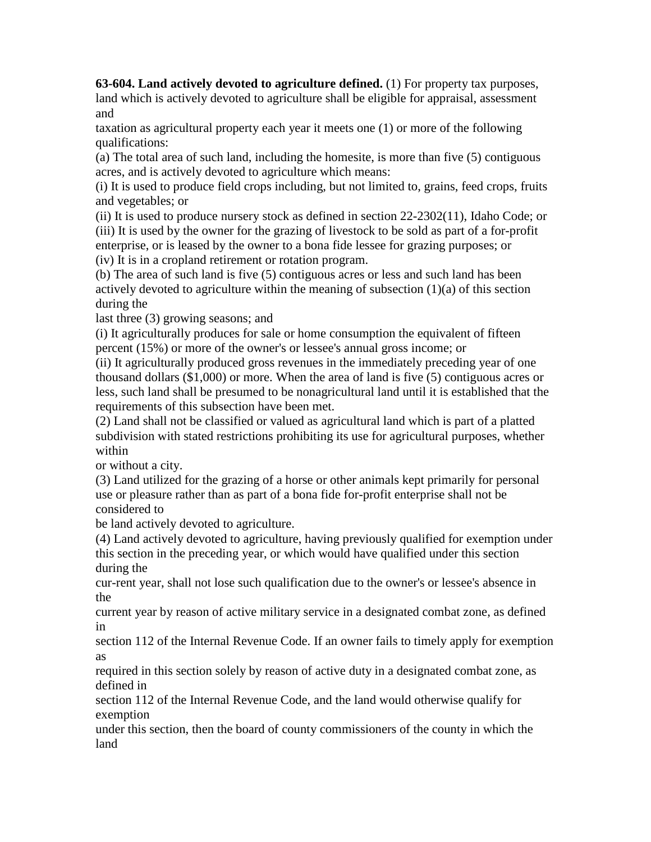**63-604. Land actively devoted to agriculture defined.** (1) For property tax purposes, land which is actively devoted to agriculture shall be eligible for appraisal, assessment and

taxation as agricultural property each year it meets one (1) or more of the following qualifications:

(a) The total area of such land, including the homesite, is more than five (5) contiguous acres, and is actively devoted to agriculture which means:

(i) It is used to produce field crops including, but not limited to, grains, feed crops, fruits and vegetables; or

(ii) It is used to produce nursery stock as defined in section 22-2302(11), Idaho Code; or (iii) It is used by the owner for the grazing of livestock to be sold as part of a for-profit enterprise, or is leased by the owner to a bona fide lessee for grazing purposes; or (iv) It is in a cropland retirement or rotation program.

(b) The area of such land is five (5) contiguous acres or less and such land has been actively devoted to agriculture within the meaning of subsection (1)(a) of this section during the

last three (3) growing seasons; and

(i) It agriculturally produces for sale or home consumption the equivalent of fifteen percent (15%) or more of the owner's or lessee's annual gross income; or

(ii) It agriculturally produced gross revenues in the immediately preceding year of one thousand dollars (\$1,000) or more. When the area of land is five (5) contiguous acres or less, such land shall be presumed to be nonagricultural land until it is established that the requirements of this subsection have been met.

(2) Land shall not be classified or valued as agricultural land which is part of a platted subdivision with stated restrictions prohibiting its use for agricultural purposes, whether within

or without a city.

(3) Land utilized for the grazing of a horse or other animals kept primarily for personal use or pleasure rather than as part of a bona fide for-profit enterprise shall not be considered to

be land actively devoted to agriculture.

(4) Land actively devoted to agriculture, having previously qualified for exemption under this section in the preceding year, or which would have qualified under this section during the

cur-rent year, shall not lose such qualification due to the owner's or lessee's absence in the

current year by reason of active military service in a designated combat zone, as defined in

section 112 of the Internal Revenue Code. If an owner fails to timely apply for exemption as

required in this section solely by reason of active duty in a designated combat zone, as defined in

section 112 of the Internal Revenue Code, and the land would otherwise qualify for exemption

under this section, then the board of county commissioners of the county in which the land